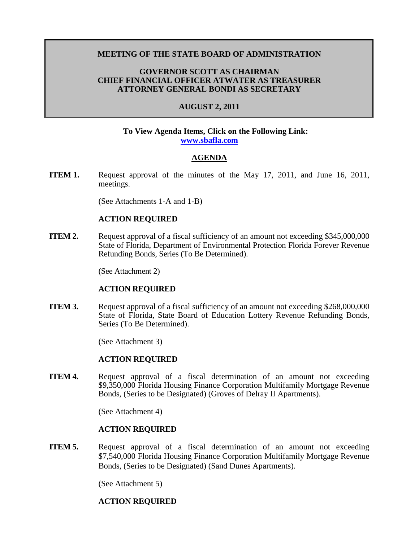## **MEETING OF THE STATE BOARD OF ADMINISTRATION**

## **GOVERNOR SCOTT AS CHAIRMAN CHIEF FINANCIAL OFFICER ATWATER AS TREASURER ATTORNEY GENERAL BONDI AS SECRETARY**

## **AUGUST 2, 2011**

#### **To View Agenda Items, Click on the Following Link: [www.sbafla.com](http://www.sbafla.com/fsb/Trustees/2011Meetings/tabid/990/Default.aspx)**

### **AGENDA**

**ITEM 1.** Request approval of the minutes of the May 17, 2011, and June 16, 2011, meetings.

(See Attachments 1-A and 1-B)

#### **ACTION REQUIRED**

**ITEM 2.** Request approval of a fiscal sufficiency of an amount not exceeding \$345,000,000 State of Florida, Department of Environmental Protection Florida Forever Revenue Refunding Bonds, Series (To Be Determined).

(See Attachment 2)

#### **ACTION REQUIRED**

**ITEM 3.** Request approval of a fiscal sufficiency of an amount not exceeding \$268,000,000 State of Florida, State Board of Education Lottery Revenue Refunding Bonds, Series (To Be Determined).

(See Attachment 3)

#### **ACTION REQUIRED**

**ITEM 4.** Request approval of a fiscal determination of an amount not exceeding \$9,350,000 Florida Housing Finance Corporation Multifamily Mortgage Revenue Bonds, (Series to be Designated) (Groves of Delray II Apartments).

(See Attachment 4)

#### **ACTION REQUIRED**

**ITEM 5.** Request approval of a fiscal determination of an amount not exceeding \$7,540,000 Florida Housing Finance Corporation Multifamily Mortgage Revenue Bonds, (Series to be Designated) (Sand Dunes Apartments).

(See Attachment 5)

# **ACTION REQUIRED**